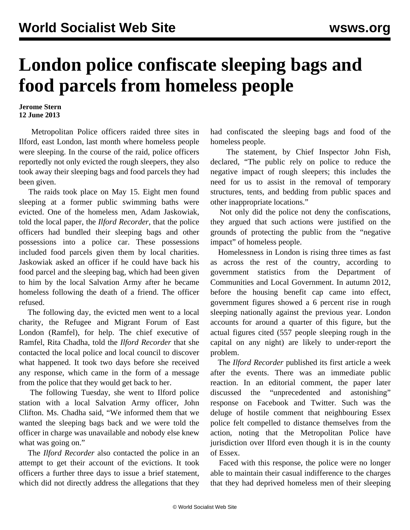## **London police confiscate sleeping bags and food parcels from homeless people**

**Jerome Stern 12 June 2013**

 Metropolitan Police officers raided three sites in Ilford, east London, last month where homeless people were sleeping. In the course of the raid, police officers reportedly not only evicted the rough sleepers, they also took away their sleeping bags and food parcels they had been given.

 The raids took place on May 15. Eight men found sleeping at a former public swimming baths were evicted. One of the homeless men, Adam Jaskowiak, told the local paper, the *Ilford Recorder,* that the police officers had bundled their sleeping bags and other possessions into a police car. These possessions included food parcels given them by local charities. Jaskowiak asked an officer if he could have back his food parcel and the sleeping bag, which had been given to him by the local Salvation Army after he became homeless following the death of a friend. The officer refused.

 The following day, the evicted men went to a local charity, the Refugee and Migrant Forum of East London (Ramfel), for help. The chief executive of Ramfel, Rita Chadha, told the *Ilford Recorder* that she contacted the local police and local council to discover what happened. It took two days before she received any response, which came in the form of a message from the police that they would get back to her.

 The following Tuesday, she went to Ilford police station with a local Salvation Army officer, John Clifton. Ms. Chadha said, "We informed them that we wanted the sleeping bags back and we were told the officer in charge was unavailable and nobody else knew what was going on."

 The *Ilford Recorder* also contacted the police in an attempt to get their account of the evictions. It took officers a further three days to issue a brief statement, which did not directly address the allegations that they

had confiscated the sleeping bags and food of the homeless people.

 The statement, by Chief Inspector John Fish, declared, "The public rely on police to reduce the negative impact of rough sleepers; this includes the need for us to assist in the removal of temporary structures, tents, and bedding from public spaces and other inappropriate locations."

 Not only did the police not deny the confiscations, they argued that such actions were justified on the grounds of protecting the public from the "negative impact" of homeless people.

 Homelessness in London is rising three times as fast as across the rest of the country, according to government statistics from the Department of Communities and Local Government. In autumn 2012, before the housing benefit cap came into effect, government figures showed a 6 percent rise in rough sleeping nationally against the previous year. London accounts for around a quarter of this figure, but the actual figures cited (557 people sleeping rough in the capital on any night) are likely to under-report the problem.

 The *Ilford Recorder* published its first article a week after the events. There was an immediate public reaction. In an editorial comment, the paper later discussed the "unprecedented and astonishing" response on Facebook and Twitter. Such was the deluge of hostile comment that neighbouring Essex police felt compelled to distance themselves from the action, noting that the Metropolitan Police have jurisdiction over Ilford even though it is in the county of Essex.

 Faced with this response, the police were no longer able to maintain their casual indifference to the charges that they had deprived homeless men of their sleeping